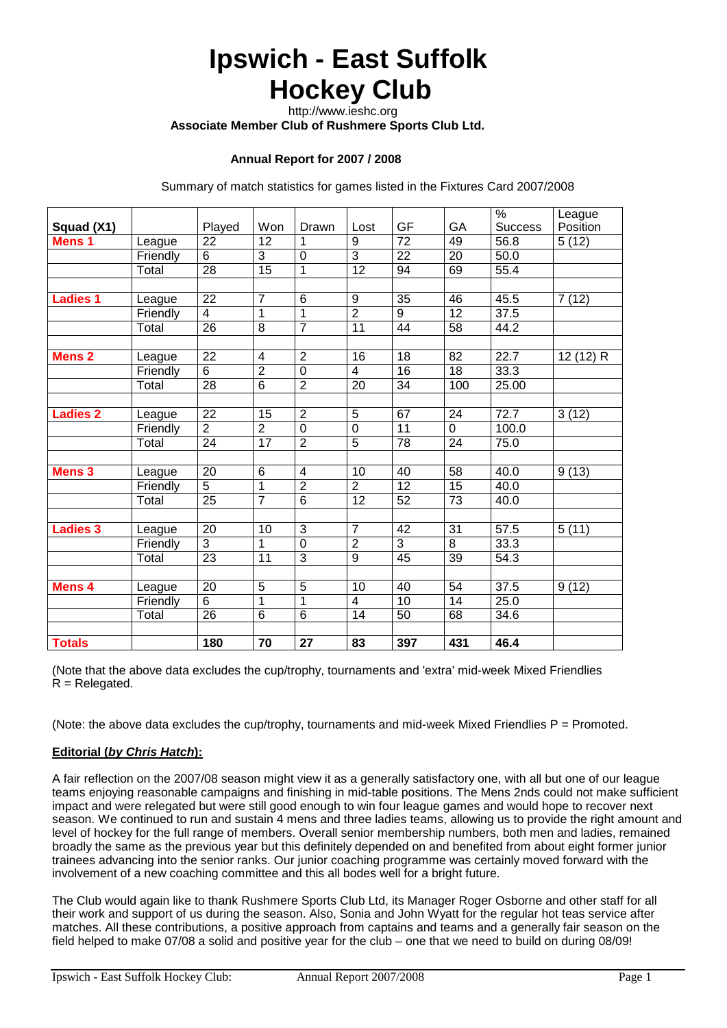# **Ipswich - East Suffolk Hockey Club**

http://www.ieshc.org

 **Associate Member Club of Rushmere Sports Club Ltd.**

#### **Annual Report for 2007 / 2008**

Summary of match statistics for games listed in the Fixtures Card 2007/2008

|                   |          |                 |                 |                |                         |                 |                 | $\frac{0}{0}$  | League    |
|-------------------|----------|-----------------|-----------------|----------------|-------------------------|-----------------|-----------------|----------------|-----------|
| Squad (X1)        |          | Played          | Won             | Drawn          | Lost                    | GF              | GA              | <b>Success</b> | Position  |
| Mens <sub>1</sub> | League   | $\overline{22}$ | 12              |                | 9                       | $\overline{72}$ | 49              | 56.8           | 5(12)     |
|                   | Friendly | 6               | 3               | $\mathbf 0$    | 3                       | 22              | 20              | 50.0           |           |
|                   | Total    | 28              | 15              | 1              | 12                      | 94              | 69              | 55.4           |           |
|                   |          |                 |                 |                |                         |                 |                 |                |           |
| <b>Ladies 1</b>   | League   | 22              | $\overline{7}$  | 6              | 9                       | $\overline{35}$ | 46              | 45.5           | 7(12)     |
|                   | Friendly | 4               | 1               | 1              | $\overline{2}$          | 9               | 12              | 37.5           |           |
|                   | Total    | 26              | 8               | $\overline{7}$ | 11                      | 44              | 58              | 44.2           |           |
|                   |          |                 |                 |                |                         |                 |                 |                |           |
| <b>Mens 2</b>     | League   | 22              | 4               | $\overline{2}$ | 16                      | 18              | 82              | 22.7           | 12 (12) R |
|                   | Friendly | 6               | $\overline{2}$  | $\mathbf 0$    | $\overline{\mathbf{4}}$ | 16              | 18              | 33.3           |           |
|                   | Total    | 28              | $\overline{6}$  | $\overline{2}$ | 20                      | 34              | 100             | 25.00          |           |
|                   |          |                 |                 |                |                         |                 |                 |                |           |
| <b>Ladies 2</b>   | League   | 22              | 15              | $\overline{2}$ | $\overline{5}$          | 67              | 24              | 72.7           | 3(12)     |
|                   | Friendly | $\overline{2}$  | $\overline{2}$  | $\overline{0}$ | $\mathbf 0$             | 11              | $\Omega$        | 100.0          |           |
|                   | Total    | $\overline{24}$ | $\overline{17}$ | $\overline{2}$ | $\overline{5}$          | 78              | 24              | 75.0           |           |
|                   |          |                 |                 |                |                         |                 |                 |                |           |
| <b>Mens 3</b>     | League   | 20              | 6               | $\overline{4}$ | 10                      | 40              | 58              | 40.0           | 9(13)     |
|                   | Friendly | 5               | $\mathbf 1$     | $\overline{2}$ | $\overline{2}$          | 12              | $\overline{15}$ | 40.0           |           |
|                   | Total    | $\overline{25}$ | $\overline{7}$  | 6              | 12                      | 52              | 73              | 40.0           |           |
|                   |          |                 |                 |                |                         |                 |                 |                |           |
| <b>Ladies 3</b>   | League   | 20              | 10              | 3              | $\overline{7}$          | 42              | 31              | 57.5           | 5(11)     |
|                   | Friendly | 3               | 1               | $\mathbf 0$    | $\overline{2}$          | 3               | 8               | 33.3           |           |
|                   | Total    | 23              | 11              | $\overline{3}$ | $\overline{9}$          | 45              | 39              | 54.3           |           |
|                   |          |                 |                 |                |                         |                 |                 |                |           |
| Mens 4            | League   | 20              | 5               | 5              | 10                      | 40              | 54              | 37.5           | 9(12)     |
|                   | Friendly | 6               | $\mathbf{1}$    | 1              | 4                       | 10              | 14              | 25.0           |           |
|                   | Total    | $\overline{26}$ | $\overline{6}$  | $\overline{6}$ | 14                      | 50              | 68              | 34.6           |           |
|                   |          |                 |                 |                |                         |                 |                 |                |           |
| <b>Totals</b>     |          | 180             | 70              | 27             | 83                      | 397             | 431             | 46.4           |           |

(Note that the above data excludes the cup/trophy, tournaments and 'extra' mid-week Mixed Friendlies  $R$  = Relegated.

(Note: the above data excludes the cup/trophy, tournaments and mid-week Mixed Friendlies  $P =$  Promoted.

#### **Editorial (***by Chris Hatch***):**

A fair reflection on the 2007/08 season might view it as a generally satisfactory one, with all but one of our league teams enjoying reasonable campaigns and finishing in mid-table positions. The Mens 2nds could not make sufficient impact and were relegated but were still good enough to win four league games and would hope to recover next season. We continued to run and sustain 4 mens and three ladies teams, allowing us to provide the right amount and level of hockey for the full range of members. Overall senior membership numbers, both men and ladies, remained broadly the same as the previous year but this definitely depended on and benefited from about eight former junior trainees advancing into the senior ranks. Our junior coaching programme was certainly moved forward with the involvement of a new coaching committee and this all bodes well for a bright future.

The Club would again like to thank Rushmere Sports Club Ltd, its Manager Roger Osborne and other staff for all their work and support of us during the season. Also, Sonia and John Wyatt for the regular hot teas service after matches. All these contributions, a positive approach from captains and teams and a generally fair season on the field helped to make 07/08 a solid and positive year for the club – one that we need to build on during 08/09!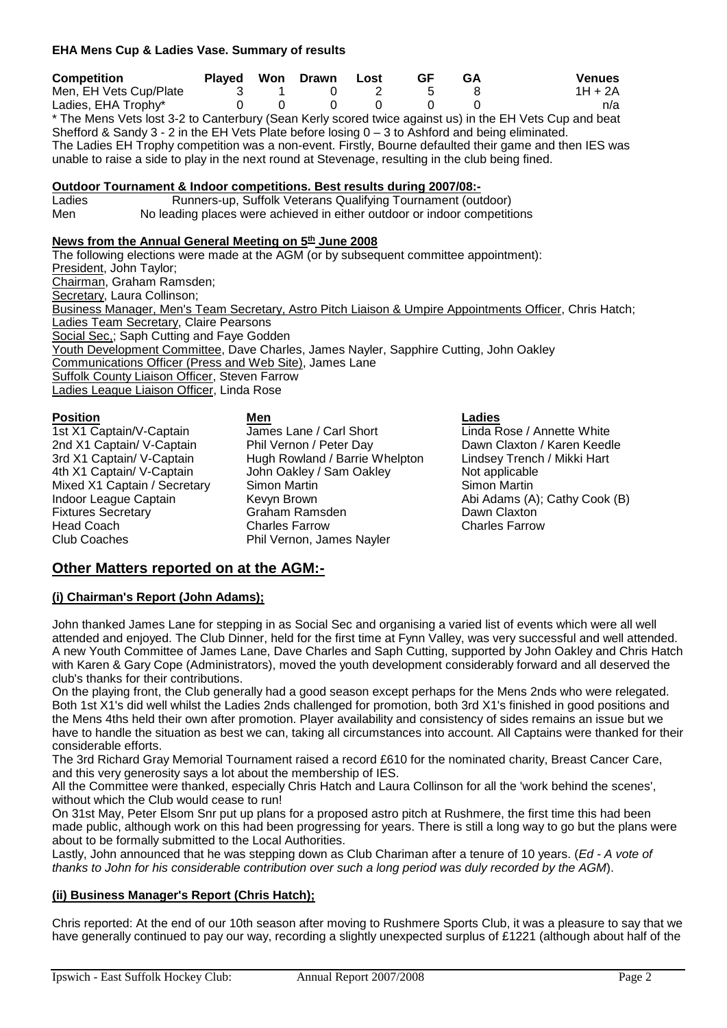#### **EHA Mens Cup & Ladies Vase. Summary of results**

| <b>Competition</b>                                                                                      |  | Played Won Drawn Lost | GF | GA | <b>Venues</b> |
|---------------------------------------------------------------------------------------------------------|--|-----------------------|----|----|---------------|
| Men, EH Vets Cup/Plate                                                                                  |  |                       |    |    | 1H + 2A       |
| Ladies, EHA Trophy*                                                                                     |  |                       |    |    | n/a           |
| * The Mens Vets lost 3-2 to Canterbury (Sean Kerly scored twice against us) in the FH Vets Cup and beat |  |                       |    |    |               |

he Mens Vets lost 3-2 to Canterbury (Sean Kerly scored twice against us) in the EH Vets Cup and beat Shefford & Sandy 3 - 2 in the EH Vets Plate before losing 0 – 3 to Ashford and being eliminated. The Ladies EH Trophy competition was a non-event. Firstly, Bourne defaulted their game and then IES was unable to raise a side to play in the next round at Stevenage, resulting in the club being fined.

## **Outdoor Tournament & Indoor competitions. Best results during 2007/08:-**

Ladies **Runners-up, Suffolk Veterans Qualifying Tournament (outdoor)**<br>Men No leading places were achieved in either outdoor or indoor competiti No leading places were achieved in either outdoor or indoor competitions

#### News from the Annual General Meeting on 5<sup>th</sup> June 2008

The following elections were made at the AGM (or by subsequent committee appointment): President, John Taylor; Chairman, Graham Ramsden; Secretary, Laura Collinson; Business Manager, Men's Team Secretary, Astro Pitch Liaison & Umpire Appointments Officer, Chris Hatch; Ladies Team Secretary, Claire Pearsons Social Sec.; Saph Cutting and Faye Godden Youth Development Committee, Dave Charles, James Nayler, Sapphire Cutting, John Oakley Communications Officer (Press and Web Site), James Lane **Suffolk County Liaison Officer, Steven Farrow** Ladies League Liaison Officer, Linda Rose

Mixed X1 Captain / Secretary Simon Martin<br>Indoor League Captain Simon Brown **Head Coach Charles Farrow Charles Farrow Charles Farrow Charles Farrow Charles Farrow Charles Farrow Charles Farrow** 

**Position by Den Men**<br>
1st X1 Captain/V-Captain **Men** James Lane / Carl Short **Den Linda R** 1st X1 Captain/V-Captain **James Lane / Carl Short** Linda Rose / Annette White<br>
2nd X1 Captain/V-Captain Phil Vernon / Peter Day Dawn Claxton / Karen Keed 2nd X1 Captain/ V-Captain Phil Vernon / Peter Day Dawn Claxton / Karen Keedle<br>3rd X1 Captain/ V-Captain Hugh Rowland / Barrie Whelpton Lindsey Trench / Mikki Hart 3rd X1 Captain/ V-Captain Hugh Rowland / Barrie Whelpton Lindsey Trench 4th X1 Captain/ V-Captain John Oakley / Sam Oakley John Oakley / Sam Oakley / Not applicable<br>Simon Martin **Mattin** Simon Martin Indoor League Captain **Abi Adams (A)**; Cathy Cook (B) Fixtures Secretary **Abi Adams (A); Cathy Cook (B)**<br>
Fixtures Secretary **Abi Adams Canam Adams den** Abi Adams (A); Cathy Cook (B) Fixtures Secretary **Fixtures Secretary** Graham Ramsden **Channel Dawn Claxton**<br>
Head Coach Charles Farrow Charles Farrow Charles Farrow Phil Vernon, James Nayler

### **Other Matters reported on at the AGM:-**

#### **(i) Chairman's Report (John Adams);**

John thanked James Lane for stepping in as Social Sec and organising a varied list of events which were all well attended and enjoyed. The Club Dinner, held for the first time at Fynn Valley, was very successful and well attended. A new Youth Committee of James Lane, Dave Charles and Saph Cutting, supported by John Oakley and Chris Hatch with Karen & Gary Cope (Administrators), moved the youth development considerably forward and all deserved the club's thanks for their contributions.

On the playing front, the Club generally had a good season except perhaps for the Mens 2nds who were relegated. Both 1st X1's did well whilst the Ladies 2nds challenged for promotion, both 3rd X1's finished in good positions and the Mens 4ths held their own after promotion. Player availability and consistency of sides remains an issue but we have to handle the situation as best we can, taking all circumstances into account. All Captains were thanked for their considerable efforts.

The 3rd Richard Gray Memorial Tournament raised a record £610 for the nominated charity, Breast Cancer Care, and this very generosity says a lot about the membership of IES.

All the Committee were thanked, especially Chris Hatch and Laura Collinson for all the 'work behind the scenes', without which the Club would cease to run!

On 31st May, Peter Elsom Snr put up plans for a proposed astro pitch at Rushmere, the first time this had been made public, although work on this had been progressing for years. There is still a long way to go but the plans were about to be formally submitted to the Local Authorities.

Lastly, John announced that he was stepping down as Club Chariman after a tenure of 10 years. (*Ed - A vote of thanks to John for his considerable contribution over such a long period was duly recorded by the AGM*).

#### **(ii) Business Manager's Report (Chris Hatch);**

Chris reported: At the end of our 10th season after moving to Rushmere Sports Club, it was a pleasure to say that we have generally continued to pay our way, recording a slightly unexpected surplus of £1221 (although about half of the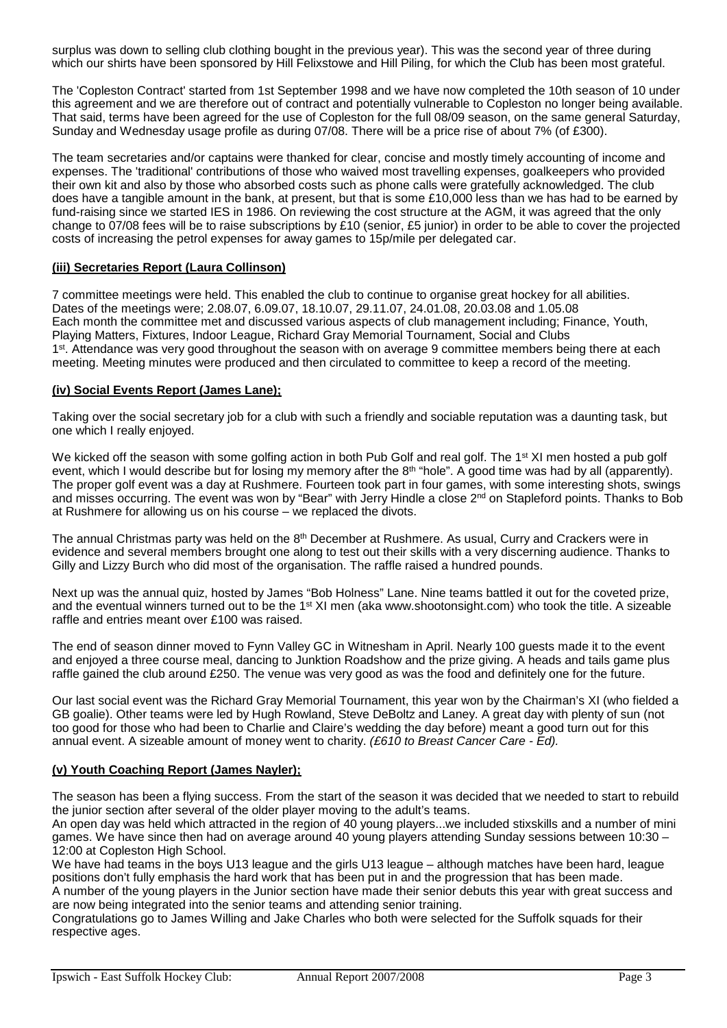surplus was down to selling club clothing bought in the previous year). This was the second year of three during which our shirts have been sponsored by Hill Felixstowe and Hill Piling, for which the Club has been most grateful.

The 'Copleston Contract' started from 1st September 1998 and we have now completed the 10th season of 10 under this agreement and we are therefore out of contract and potentially vulnerable to Copleston no longer being available. That said, terms have been agreed for the use of Copleston for the full 08/09 season, on the same general Saturday, Sunday and Wednesday usage profile as during 07/08. There will be a price rise of about 7% (of £300).

The team secretaries and/or captains were thanked for clear, concise and mostly timely accounting of income and expenses. The 'traditional' contributions of those who waived most travelling expenses, goalkeepers who provided their own kit and also by those who absorbed costs such as phone calls were gratefully acknowledged. The club does have a tangible amount in the bank, at present, but that is some £10,000 less than we has had to be earned by fund-raising since we started IES in 1986. On reviewing the cost structure at the AGM, it was agreed that the only change to 07/08 fees will be to raise subscriptions by £10 (senior, £5 junior) in order to be able to cover the projected costs of increasing the petrol expenses for away games to 15p/mile per delegated car.

#### **(iii) Secretaries Report (Laura Collinson)**

7 committee meetings were held. This enabled the club to continue to organise great hockey for all abilities. Dates of the meetings were; 2.08.07, 6.09.07, 18.10.07, 29.11.07, 24.01.08, 20.03.08 and 1.05.08 Each month the committee met and discussed various aspects of club management including; Finance, Youth, Playing Matters, Fixtures, Indoor League, Richard Gray Memorial Tournament, Social and Clubs 1<sup>st</sup>. Attendance was very good throughout the season with on average 9 committee members being there at each meeting. Meeting minutes were produced and then circulated to committee to keep a record of the meeting.

#### **(iv) Social Events Report (James Lane);**

Taking over the social secretary job for a club with such a friendly and sociable reputation was a daunting task, but one which I really enjoyed.

We kicked off the season with some golfing action in both Pub Golf and real golf. The 1<sup>st</sup> XI men hosted a pub golf event, which I would describe but for losing my memory after the 8<sup>th</sup> "hole". A good time was had by all (apparently). The proper golf event was a day at Rushmere. Fourteen took part in four games, with some interesting shots, swings and misses occurring. The event was won by "Bear" with Jerry Hindle a close 2<sup>nd</sup> on Stapleford points. Thanks to Bob at Rushmere for allowing us on his course – we replaced the divots.

The annual Christmas party was held on the  $8<sup>th</sup>$  December at Rushmere. As usual, Curry and Crackers were in evidence and several members brought one along to test out their skills with a very discerning audience. Thanks to Gilly and Lizzy Burch who did most of the organisation. The raffle raised a hundred pounds.

Next up was the annual quiz, hosted by James "Bob Holness" Lane. Nine teams battled it out for the coveted prize, and the eventual winners turned out to be the 1<sup>st</sup> XI men (aka www.shootonsight.com) who took the title. A sizeable raffle and entries meant over £100 was raised.

The end of season dinner moved to Fynn Valley GC in Witnesham in April. Nearly 100 guests made it to the event and enjoyed a three course meal, dancing to Junktion Roadshow and the prize giving. A heads and tails game plus raffle gained the club around £250. The venue was very good as was the food and definitely one for the future.

Our last social event was the Richard Gray Memorial Tournament, this year won by the Chairman's XI (who fielded a GB goalie). Other teams were led by Hugh Rowland, Steve DeBoltz and Laney. A great day with plenty of sun (not too good for those who had been to Charlie and Claire's wedding the day before) meant a good turn out for this annual event. A sizeable amount of money went to charity. *(£610 to Breast Cancer Care - Ed).*

#### **(v) Youth Coaching Report (James Nayler);**

The season has been a flying success. From the start of the season it was decided that we needed to start to rebuild the junior section after several of the older player moving to the adult's teams.

An open day was held which attracted in the region of 40 young players...we included stixskills and a number of mini games. We have since then had on average around 40 young players attending Sunday sessions between 10:30 – 12:00 at Copleston High School.

We have had teams in the boys U13 league and the girls U13 league – although matches have been hard, league positions don't fully emphasis the hard work that has been put in and the progression that has been made. A number of the young players in the Junior section have made their senior debuts this year with great success and

are now being integrated into the senior teams and attending senior training.

Congratulations go to James Willing and Jake Charles who both were selected for the Suffolk squads for their respective ages.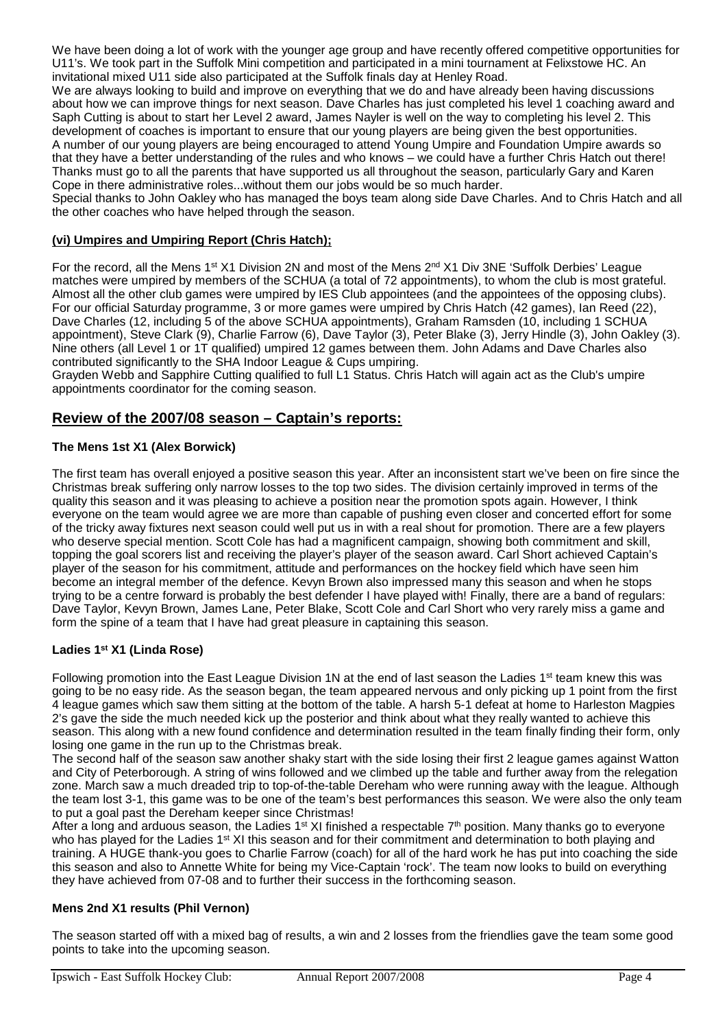We have been doing a lot of work with the younger age group and have recently offered competitive opportunities for U11's. We took part in the Suffolk Mini competition and participated in a mini tournament at Felixstowe HC. An invitational mixed U11 side also participated at the Suffolk finals day at Henley Road.

We are always looking to build and improve on everything that we do and have already been having discussions about how we can improve things for next season. Dave Charles has just completed his level 1 coaching award and Saph Cutting is about to start her Level 2 award, James Nayler is well on the way to completing his level 2. This development of coaches is important to ensure that our young players are being given the best opportunities. A number of our young players are being encouraged to attend Young Umpire and Foundation Umpire awards so that they have a better understanding of the rules and who knows – we could have a further Chris Hatch out there! Thanks must go to all the parents that have supported us all throughout the season, particularly Gary and Karen Cope in there administrative roles...without them our jobs would be so much harder.

Special thanks to John Oakley who has managed the boys team along side Dave Charles. And to Chris Hatch and all the other coaches who have helped through the season.

#### **(vi) Umpires and Umpiring Report (Chris Hatch);**

For the record, all the Mens 1<sup>st</sup> X1 Division 2N and most of the Mens 2<sup>nd</sup> X1 Div 3NE 'Suffolk Derbies' League matches were umpired by members of the SCHUA (a total of 72 appointments), to whom the club is most grateful. Almost all the other club games were umpired by IES Club appointees (and the appointees of the opposing clubs). For our official Saturday programme, 3 or more games were umpired by Chris Hatch (42 games), Ian Reed (22), Dave Charles (12, including 5 of the above SCHUA appointments), Graham Ramsden (10, including 1 SCHUA appointment), Steve Clark (9), Charlie Farrow (6), Dave Taylor (3), Peter Blake (3), Jerry Hindle (3), John Oakley (3). Nine others (all Level 1 or 1T qualified) umpired 12 games between them. John Adams and Dave Charles also contributed significantly to the SHA Indoor League & Cups umpiring.

Grayden Webb and Sapphire Cutting qualified to full L1 Status. Chris Hatch will again act as the Club's umpire appointments coordinator for the coming season.

### **Review of the 2007/08 season – Captain's reports:**

#### **The Mens 1st X1 (Alex Borwick)**

The first team has overall enjoyed a positive season this year. After an inconsistent start we've been on fire since the Christmas break suffering only narrow losses to the top two sides. The division certainly improved in terms of the quality this season and it was pleasing to achieve a position near the promotion spots again. However, I think everyone on the team would agree we are more than capable of pushing even closer and concerted effort for some of the tricky away fixtures next season could well put us in with a real shout for promotion. There are a few players who deserve special mention. Scott Cole has had a magnificent campaign, showing both commitment and skill, topping the goal scorers list and receiving the player's player of the season award. Carl Short achieved Captain's player of the season for his commitment, attitude and performances on the hockey field which have seen him become an integral member of the defence. Kevyn Brown also impressed many this season and when he stops trying to be a centre forward is probably the best defender I have played with! Finally, there are a band of regulars: Dave Taylor, Kevyn Brown, James Lane, Peter Blake, Scott Cole and Carl Short who very rarely miss a game and form the spine of a team that I have had great pleasure in captaining this season.

#### **Ladies 1st X1 (Linda Rose)**

Following promotion into the East League Division 1N at the end of last season the Ladies  $1<sup>st</sup>$  team knew this was going to be no easy ride. As the season began, the team appeared nervous and only picking up 1 point from the first 4 league games which saw them sitting at the bottom of the table. A harsh 5-1 defeat at home to Harleston Magpies 2's gave the side the much needed kick up the posterior and think about what they really wanted to achieve this season. This along with a new found confidence and determination resulted in the team finally finding their form, only losing one game in the run up to the Christmas break.

The second half of the season saw another shaky start with the side losing their first 2 league games against Watton and City of Peterborough. A string of wins followed and we climbed up the table and further away from the relegation zone. March saw a much dreaded trip to top-of-the-table Dereham who were running away with the league. Although the team lost 3-1, this game was to be one of the team's best performances this season. We were also the only team to put a goal past the Dereham keeper since Christmas!

After a long and arduous season, the Ladies 1<sup>st</sup> XI finished a respectable 7<sup>th</sup> position. Many thanks go to everyone who has played for the Ladies 1<sup>st</sup> XI this season and for their commitment and determination to both playing and training. A HUGE thank-you goes to Charlie Farrow (coach) for all of the hard work he has put into coaching the side this season and also to Annette White for being my Vice-Captain 'rock'. The team now looks to build on everything they have achieved from 07-08 and to further their success in the forthcoming season.

#### **Mens 2nd X1 results (Phil Vernon)**

The season started off with a mixed bag of results, a win and 2 losses from the friendlies gave the team some good points to take into the upcoming season.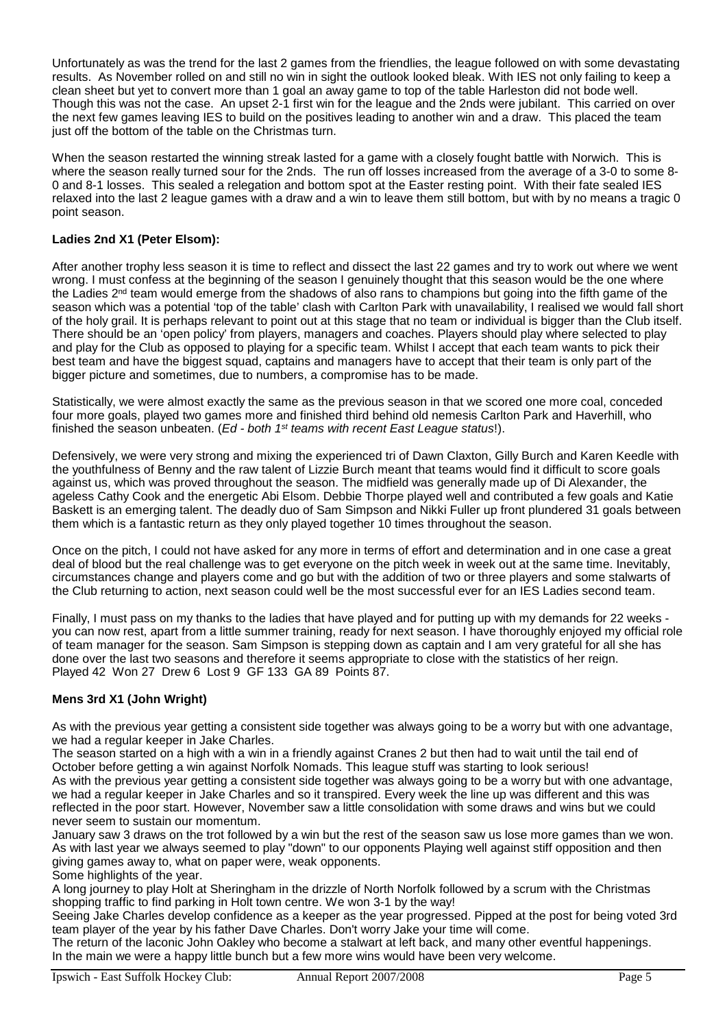Unfortunately as was the trend for the last 2 games from the friendlies, the league followed on with some devastating results. As November rolled on and still no win in sight the outlook looked bleak. With IES not only failing to keep a clean sheet but yet to convert more than 1 goal an away game to top of the table Harleston did not bode well. Though this was not the case. An upset 2-1 first win for the league and the 2nds were jubilant. This carried on over the next few games leaving IES to build on the positives leading to another win and a draw. This placed the team just off the bottom of the table on the Christmas turn.

When the season restarted the winning streak lasted for a game with a closely fought battle with Norwich. This is where the season really turned sour for the 2nds. The run off losses increased from the average of a 3-0 to some 8- 0 and 8-1 losses. This sealed a relegation and bottom spot at the Easter resting point. With their fate sealed IES relaxed into the last 2 league games with a draw and a win to leave them still bottom, but with by no means a tragic 0 point season.

#### **Ladies 2nd X1 (Peter Elsom):**

After another trophy less season it is time to reflect and dissect the last 22 games and try to work out where we went wrong. I must confess at the beginning of the season I genuinely thought that this season would be the one where the Ladies 2<sup>nd</sup> team would emerge from the shadows of also rans to champions but going into the fifth game of the season which was a potential 'top of the table' clash with Carlton Park with unavailability, I realised we would fall short of the holy grail. It is perhaps relevant to point out at this stage that no team or individual is bigger than the Club itself. There should be an 'open policy' from players, managers and coaches. Players should play where selected to play and play for the Club as opposed to playing for a specific team. Whilst I accept that each team wants to pick their best team and have the biggest squad, captains and managers have to accept that their team is only part of the bigger picture and sometimes, due to numbers, a compromise has to be made.

Statistically, we were almost exactly the same as the previous season in that we scored one more coal, conceded four more goals, played two games more and finished third behind old nemesis Carlton Park and Haverhill, who finished the season unbeaten. (*Ed - both 1st teams with recent East League status*!).

Defensively, we were very strong and mixing the experienced tri of Dawn Claxton, Gilly Burch and Karen Keedle with the youthfulness of Benny and the raw talent of Lizzie Burch meant that teams would find it difficult to score goals against us, which was proved throughout the season. The midfield was generally made up of Di Alexander, the ageless Cathy Cook and the energetic Abi Elsom. Debbie Thorpe played well and contributed a few goals and Katie Baskett is an emerging talent. The deadly duo of Sam Simpson and Nikki Fuller up front plundered 31 goals between them which is a fantastic return as they only played together 10 times throughout the season.

Once on the pitch, I could not have asked for any more in terms of effort and determination and in one case a great deal of blood but the real challenge was to get everyone on the pitch week in week out at the same time. Inevitably, circumstances change and players come and go but with the addition of two or three players and some stalwarts of the Club returning to action, next season could well be the most successful ever for an IES Ladies second team.

Finally, I must pass on my thanks to the ladies that have played and for putting up with my demands for 22 weeks you can now rest, apart from a little summer training, ready for next season. I have thoroughly enjoyed my official role of team manager for the season. Sam Simpson is stepping down as captain and I am very grateful for all she has done over the last two seasons and therefore it seems appropriate to close with the statistics of her reign. Played 42 Won 27 Drew 6 Lost 9 GF 133 GA 89 Points 87.

#### **Mens 3rd X1 (John Wright)**

As with the previous year getting a consistent side together was always going to be a worry but with one advantage, we had a regular keeper in Jake Charles.

The season started on a high with a win in a friendly against Cranes 2 but then had to wait until the tail end of October before getting a win against Norfolk Nomads. This league stuff was starting to look serious! As with the previous year getting a consistent side together was always going to be a worry but with one advantage, we had a regular keeper in Jake Charles and so it transpired. Every week the line up was different and this was reflected in the poor start. However, November saw a little consolidation with some draws and wins but we could never seem to sustain our momentum.

January saw 3 draws on the trot followed by a win but the rest of the season saw us lose more games than we won. As with last year we always seemed to play "down" to our opponents Playing well against stiff opposition and then giving games away to, what on paper were, weak opponents. Some highlights of the year.

A long journey to play Holt at Sheringham in the drizzle of North Norfolk followed by a scrum with the Christmas shopping traffic to find parking in Holt town centre. We won 3-1 by the way!

Seeing Jake Charles develop confidence as a keeper as the year progressed. Pipped at the post for being voted 3rd team player of the year by his father Dave Charles. Don't worry Jake your time will come.

The return of the laconic John Oakley who become a stalwart at left back, and many other eventful happenings. In the main we were a happy little bunch but a few more wins would have been very welcome.